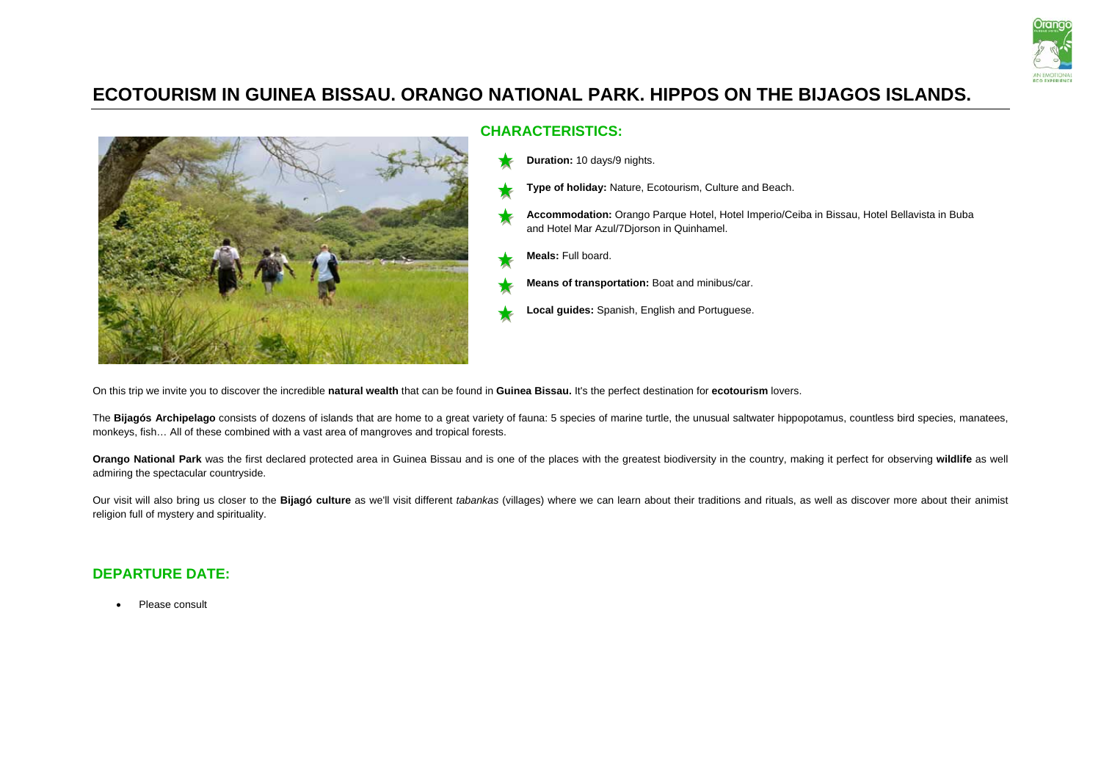

# **ECOTOURISM IN GUINEA BISSAU. ORANGO NATIONAL PARK. HIPPOS ON THE BIJAGOS ISLANDS.**



# **CHARACTERISTICS:**

- **Duration:** 10 days/9 nights.
	- **Type of holiday:** Nature, Ecotourism, Culture and Beach.
	- **Accommodation:** Orango Parque Hotel, Hotel Imperio/Ceiba in Bissau, Hotel Bellavista in Buba and Hotel Mar Azul/7Djorson in Quinhamel.
- **Meals:** Full board.
	- **Means of transportation:** Boat and minibus/car.
- **Local guides:** Spanish, English and Portuguese.

On this trip we invite you to discover the incredible **natural wealth** that can be found in **Guinea Bissau.** It's the perfect destination for **ecotourism** lovers.

The Bijagós Archipelago consists of dozens of islands that are home to a great variety of fauna: 5 species of marine turtle, the unusual saltwater hippopotamus, countless bird species, manatees, monkeys, fish… All of these combined with a vast area of mangroves and tropical forests.

**Orango National Park** was the first declared protected area in Guinea Bissau and is one of the places with the greatest biodiversity in the country, making it perfect for observing **wildlife** as well admiring the spectacular countryside.

Our visit will also bring us closer to the **Bijagó culture** as we'll visit different *tabankas* (villages) where we can learn about their traditions and rituals, as well as discover more about their animist religion full of mystery and spirituality.

## **DEPARTURE DATE:**

• Please consult